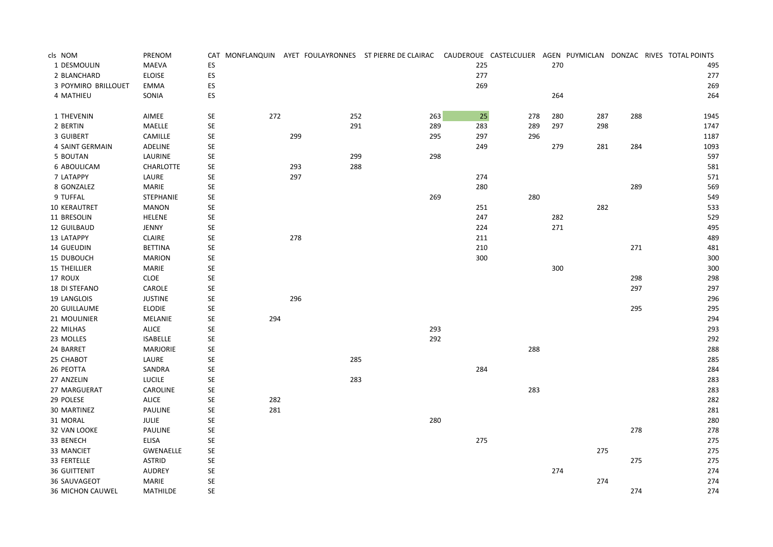| cls NOM                 | PRENOM           |                      |     |     |     | CAT MONFLANQUIN AYET FOULAYRONNES ST PIERRE DE CLAIRAC |     | CAUDEROUE CASTELCULIER AGEN PUYMICLAN DONZAC RIVES TOTAL POINTS |     |     |     |      |
|-------------------------|------------------|----------------------|-----|-----|-----|--------------------------------------------------------|-----|-----------------------------------------------------------------|-----|-----|-----|------|
| 1 DESMOULIN             | <b>MAEVA</b>     | ES                   |     |     |     |                                                        | 225 |                                                                 | 270 |     |     | 495  |
| 2 BLANCHARD             | <b>ELOISE</b>    | ES                   |     |     |     |                                                        | 277 |                                                                 |     |     |     | 277  |
| 3 POYMIRO BRILLOUET     | EMMA             | ES                   |     |     |     |                                                        | 269 |                                                                 |     |     |     | 269  |
| 4 MATHIEU               | SONIA            | ES                   |     |     |     |                                                        |     |                                                                 | 264 |     |     | 264  |
| 1 THEVENIN              | AIMEE            | SE                   | 272 |     | 252 | 263                                                    | 25  | 278                                                             | 280 | 287 | 288 | 1945 |
| 2 BERTIN                | MAELLE           | SE                   |     |     | 291 | 289                                                    | 283 | 289                                                             | 297 | 298 |     | 1747 |
| 3 GUIBERT               | CAMILLE          | SE                   |     | 299 |     | 295                                                    | 297 | 296                                                             |     |     |     | 1187 |
| 4 SAINT GERMAIN         | ADELINE          | SE                   |     |     |     |                                                        | 249 |                                                                 | 279 | 281 | 284 | 1093 |
| 5 BOUTAN                | LAURINE          | $\mathsf{SE}\xspace$ |     |     | 299 | 298                                                    |     |                                                                 |     |     |     | 597  |
| 6 ABOULICAM             | <b>CHARLOTTE</b> | SE                   |     | 293 | 288 |                                                        |     |                                                                 |     |     |     | 581  |
| 7 LATAPPY               | LAURE            | SE                   |     | 297 |     |                                                        | 274 |                                                                 |     |     |     | 571  |
| 8 GONZALEZ              | <b>MARIE</b>     | SE                   |     |     |     |                                                        | 280 |                                                                 |     |     | 289 | 569  |
| 9 TUFFAL                | STEPHANIE        | SE                   |     |     |     | 269                                                    |     | 280                                                             |     |     |     | 549  |
| 10 KERAUTRET            | <b>MANON</b>     | $\mathsf{SE}\xspace$ |     |     |     |                                                        | 251 |                                                                 |     | 282 |     | 533  |
| 11 BRESOLIN             | HELENE           | SE                   |     |     |     |                                                        | 247 |                                                                 | 282 |     |     | 529  |
| 12 GUILBAUD             | JENNY            | SE                   |     |     |     |                                                        | 224 |                                                                 | 271 |     |     | 495  |
| 13 LATAPPY              | <b>CLAIRE</b>    | SE                   |     | 278 |     |                                                        | 211 |                                                                 |     |     |     | 489  |
| 14 GUEUDIN              | <b>BETTINA</b>   | SE                   |     |     |     |                                                        | 210 |                                                                 |     |     | 271 | 481  |
| 15 DUBOUCH              | <b>MARION</b>    | $\mathsf{SE}\xspace$ |     |     |     |                                                        | 300 |                                                                 |     |     |     | 300  |
| <b>15 THEILLIER</b>     | MARIE            | SE                   |     |     |     |                                                        |     |                                                                 | 300 |     |     | 300  |
| 17 ROUX                 | <b>CLOE</b>      | SE                   |     |     |     |                                                        |     |                                                                 |     |     | 298 | 298  |
| 18 DI STEFANO           | CAROLE           | SE                   |     |     |     |                                                        |     |                                                                 |     |     | 297 | 297  |
| 19 LANGLOIS             | <b>JUSTINE</b>   | SE                   |     | 296 |     |                                                        |     |                                                                 |     |     |     | 296  |
| <b>20 GUILLAUME</b>     | <b>ELODIE</b>    | SE                   |     |     |     |                                                        |     |                                                                 |     |     | 295 | 295  |
| 21 MOULINIER            | MELANIE          | SE                   | 294 |     |     |                                                        |     |                                                                 |     |     |     | 294  |
| 22 MILHAS               | <b>ALICE</b>     | $\mathsf{SE}\xspace$ |     |     |     | 293                                                    |     |                                                                 |     |     |     | 293  |
| 23 MOLLES               | <b>ISABELLE</b>  | SE                   |     |     |     | 292                                                    |     |                                                                 |     |     |     | 292  |
| 24 BARRET               | <b>MARJORIE</b>  | SE                   |     |     |     |                                                        |     | 288                                                             |     |     |     | 288  |
| 25 CHABOT               | LAURE            | SE                   |     |     | 285 |                                                        |     |                                                                 |     |     |     | 285  |
| 26 PEOTTA               | SANDRA           | SE                   |     |     |     |                                                        | 284 |                                                                 |     |     |     | 284  |
| 27 ANZELIN              | <b>LUCILE</b>    | SE                   |     |     | 283 |                                                        |     |                                                                 |     |     |     | 283  |
| 27 MARGUERAT            | CAROLINE         | SE                   |     |     |     |                                                        |     | 283                                                             |     |     |     | 283  |
| 29 POLESE               | <b>ALICE</b>     | SE                   | 282 |     |     |                                                        |     |                                                                 |     |     |     | 282  |
| 30 MARTINEZ             | PAULINE          | SE                   | 281 |     |     |                                                        |     |                                                                 |     |     |     | 281  |
| 31 MORAL                | <b>JULIE</b>     | SE                   |     |     |     | 280                                                    |     |                                                                 |     |     |     | 280  |
| 32 VAN LOOKE            | PAULINE          | SE                   |     |     |     |                                                        |     |                                                                 |     |     | 278 | 278  |
| 33 BENECH               | <b>ELISA</b>     | SE                   |     |     |     |                                                        | 275 |                                                                 |     |     |     | 275  |
| 33 MANCIET              | GWENAELLE        | SE                   |     |     |     |                                                        |     |                                                                 |     | 275 |     | 275  |
| 33 FERTELLE             | <b>ASTRID</b>    | SE                   |     |     |     |                                                        |     |                                                                 |     |     | 275 | 275  |
| <b>36 GUITTENIT</b>     | <b>AUDREY</b>    | SE                   |     |     |     |                                                        |     |                                                                 | 274 |     |     | 274  |
| 36 SAUVAGEOT            | <b>MARIE</b>     | SE                   |     |     |     |                                                        |     |                                                                 |     | 274 |     | 274  |
| <b>36 MICHON CAUWEL</b> | <b>MATHILDE</b>  | <b>SE</b>            |     |     |     |                                                        |     |                                                                 |     |     | 274 | 274  |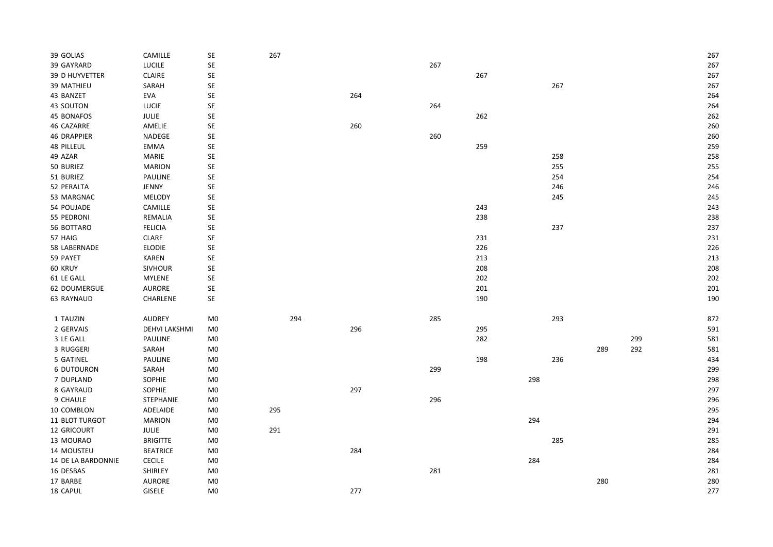| 39 GOLIAS          | CAMILLE              | $\mathsf{SE}\xspace$ | 267 |     |     |     |     |     |     |     | 267 |
|--------------------|----------------------|----------------------|-----|-----|-----|-----|-----|-----|-----|-----|-----|
| 39 GAYRARD         | LUCILE               | $\mathsf{SE}\xspace$ |     |     | 267 |     |     |     |     |     | 267 |
| 39 D HUYVETTER     | <b>CLAIRE</b>        | $\mathsf{SE}\xspace$ |     |     |     | 267 |     |     |     |     | 267 |
| 39 MATHIEU         | SARAH                | $\mathsf{SE}\xspace$ |     |     |     |     |     | 267 |     |     | 267 |
| 43 BANZET          | EVA                  | $\mathsf{SE}\xspace$ |     | 264 |     |     |     |     |     |     | 264 |
| 43 SOUTON          | <b>LUCIE</b>         | SE                   |     |     | 264 |     |     |     |     |     | 264 |
| 45 BONAFOS         | JULIE                | SE                   |     |     |     | 262 |     |     |     |     | 262 |
| 46 CAZARRE         | AMELIE               | $\mathsf{SE}\xspace$ |     | 260 |     |     |     |     |     |     | 260 |
| <b>46 DRAPPIER</b> | NADEGE               | $\mathsf{SE}\xspace$ |     |     | 260 |     |     |     |     |     | 260 |
| <b>48 PILLEUL</b>  | <b>EMMA</b>          | $\mathsf{SE}\xspace$ |     |     |     | 259 |     |     |     |     | 259 |
| 49 AZAR            | MARIE                | $\mathsf{SE}\xspace$ |     |     |     |     |     | 258 |     |     | 258 |
| 50 BURIEZ          | <b>MARION</b>        | $\mathsf{SE}\xspace$ |     |     |     |     |     | 255 |     |     | 255 |
| 51 BURIEZ          | PAULINE              | $\mathsf{SE}\xspace$ |     |     |     |     |     | 254 |     |     | 254 |
| 52 PERALTA         | JENNY                | $\mathsf{SE}\xspace$ |     |     |     |     |     | 246 |     |     | 246 |
| 53 MARGNAC         | MELODY               | $\mathsf{SE}\xspace$ |     |     |     |     |     | 245 |     |     | 245 |
| 54 POUJADE         | CAMILLE              | $\mathsf{SE}\xspace$ |     |     |     | 243 |     |     |     |     | 243 |
| 55 PEDRONI         | REMALIA              | $\mathsf{SE}\xspace$ |     |     |     | 238 |     |     |     |     | 238 |
| 56 BOTTARO         | <b>FELICIA</b>       | SE                   |     |     |     |     |     | 237 |     |     | 237 |
| 57 HAIG            | CLARE                | $\mathsf{SE}\xspace$ |     |     |     | 231 |     |     |     |     | 231 |
| 58 LABERNADE       | <b>ELODIE</b>        | $\mathsf{SE}\xspace$ |     |     |     | 226 |     |     |     |     | 226 |
| 59 PAYET           | KAREN                | $\mathsf{SE}\xspace$ |     |     |     | 213 |     |     |     |     | 213 |
| 60 KRUY            | <b>SIVHOUR</b>       | $\mathsf{SE}\xspace$ |     |     |     | 208 |     |     |     |     | 208 |
| 61 LE GALL         | MYLENE               | $\mathsf{SE}\xspace$ |     |     |     | 202 |     |     |     |     | 202 |
| 62 DOUMERGUE       | AURORE               | $\mathsf{SE}\xspace$ |     |     |     | 201 |     |     |     |     | 201 |
| 63 RAYNAUD         | CHARLENE             | $\mathsf{SE}\xspace$ |     |     |     | 190 |     |     |     |     | 190 |
| 1 TAUZIN           | <b>AUDREY</b>        | M <sub>0</sub>       | 294 |     | 285 |     |     | 293 |     |     | 872 |
| 2 GERVAIS          | <b>DEHVI LAKSHMI</b> | M <sub>0</sub>       |     | 296 |     | 295 |     |     |     |     | 591 |
| 3 LE GALL          | PAULINE              | M <sub>0</sub>       |     |     |     | 282 |     |     |     | 299 | 581 |
| 3 RUGGERI          | SARAH                | M <sub>0</sub>       |     |     |     |     |     |     | 289 | 292 | 581 |
| 5 GATINEL          | PAULINE              | M <sub>0</sub>       |     |     |     | 198 |     | 236 |     |     | 434 |
| <b>6 DUTOURON</b>  | SARAH                | M <sub>0</sub>       |     |     | 299 |     |     |     |     |     | 299 |
| 7 DUPLAND          | SOPHIE               | M <sub>0</sub>       |     |     |     |     | 298 |     |     |     | 298 |
| 8 GAYRAUD          | SOPHIE               | M <sub>0</sub>       |     | 297 |     |     |     |     |     |     | 297 |
| 9 CHAULE           | STEPHANIE            | M <sub>0</sub>       |     |     | 296 |     |     |     |     |     | 296 |
| 10 COMBLON         | ADELAIDE             | M <sub>0</sub>       | 295 |     |     |     |     |     |     |     | 295 |
| 11 BLOT TURGOT     | <b>MARION</b>        | M <sub>0</sub>       |     |     |     |     | 294 |     |     |     | 294 |
| 12 GRICOURT        | JULIE                | M <sub>0</sub>       | 291 |     |     |     |     |     |     |     | 291 |
| 13 MOURAO          | <b>BRIGITTE</b>      | M <sub>0</sub>       |     |     |     |     |     | 285 |     |     | 285 |
| 14 MOUSTEU         | <b>BEATRICE</b>      | M <sub>0</sub>       |     | 284 |     |     |     |     |     |     | 284 |
| 14 DE LA BARDONNIE | CECILE               | M <sub>0</sub>       |     |     |     |     | 284 |     |     |     | 284 |
| 16 DESBAS          | SHIRLEY              | M <sub>0</sub>       |     |     | 281 |     |     |     |     |     | 281 |
| 17 BARBE           | AURORE               | M <sub>0</sub>       |     |     |     |     |     |     | 280 |     | 280 |
| 18 CAPUL           | GISELE               | M <sub>0</sub>       |     | 277 |     |     |     |     |     |     | 277 |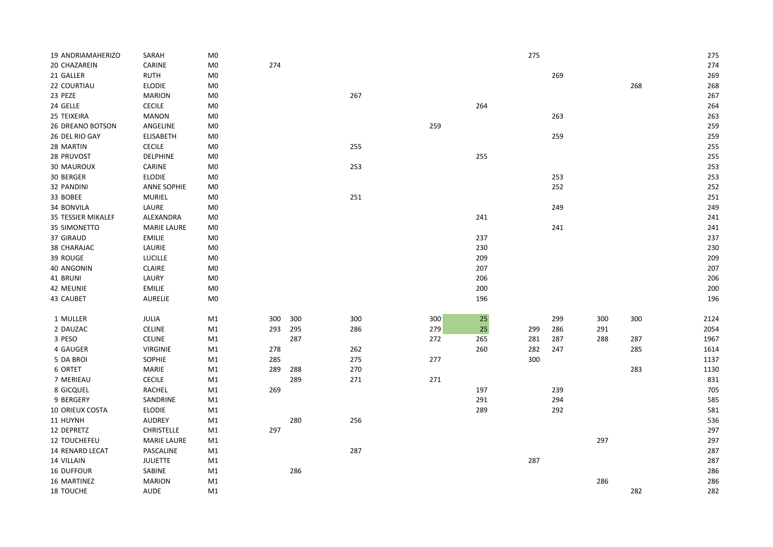| 19 ANDRIAMAHERIZO  | SARAH              | M <sub>0</sub> |     |     |     |     |     | 275 |     |     |     | 275  |
|--------------------|--------------------|----------------|-----|-----|-----|-----|-----|-----|-----|-----|-----|------|
| 20 CHAZAREIN       | CARINE             | M <sub>0</sub> | 274 |     |     |     |     |     |     |     |     | 274  |
| 21 GALLER          | <b>RUTH</b>        | M <sub>0</sub> |     |     |     |     |     |     | 269 |     |     | 269  |
| 22 COURTIAU        | <b>ELODIE</b>      | M <sub>0</sub> |     |     |     |     |     |     |     |     | 268 | 268  |
| 23 PEZE            | <b>MARION</b>      | M <sub>0</sub> |     |     | 267 |     |     |     |     |     |     | 267  |
| 24 GELLE           | <b>CECILE</b>      | M <sub>0</sub> |     |     |     |     | 264 |     |     |     |     | 264  |
| 25 TEIXEIRA        | <b>MANON</b>       | M <sub>0</sub> |     |     |     |     |     |     | 263 |     |     | 263  |
| 26 DREANO BOTSON   | ANGELINE           | M <sub>0</sub> |     |     |     | 259 |     |     |     |     |     | 259  |
| 26 DEL RIO GAY     | <b>ELISABETH</b>   | $\mathsf{M}0$  |     |     |     |     |     |     | 259 |     |     | 259  |
| 28 MARTIN          | <b>CECILE</b>      | M <sub>0</sub> |     |     | 255 |     |     |     |     |     |     | 255  |
| 28 PRUVOST         | <b>DELPHINE</b>    | M <sub>0</sub> |     |     |     |     | 255 |     |     |     |     | 255  |
| <b>30 MAUROUX</b>  | CARINE             | M <sub>0</sub> |     |     | 253 |     |     |     |     |     |     | 253  |
| 30 BERGER          | <b>ELODIE</b>      | M <sub>0</sub> |     |     |     |     |     |     | 253 |     |     | 253  |
| 32 PANDINI         | <b>ANNE SOPHIE</b> | M <sub>0</sub> |     |     |     |     |     |     | 252 |     |     | 252  |
| 33 BOBEE           | <b>MURIEL</b>      | M <sub>0</sub> |     |     | 251 |     |     |     |     |     |     | 251  |
| 34 BONVILA         | LAURE              | M <sub>0</sub> |     |     |     |     |     |     | 249 |     |     | 249  |
| 35 TESSIER MIKALEF | ALEXANDRA          | M <sub>0</sub> |     |     |     |     | 241 |     |     |     |     | 241  |
| 35 SIMONETTO       | MARIE LAURE        | M <sub>0</sub> |     |     |     |     |     |     | 241 |     |     | 241  |
| 37 GIRAUD          | <b>EMILIE</b>      | M <sub>0</sub> |     |     |     |     | 237 |     |     |     |     | 237  |
| 38 CHARAJAC        | LAURIE             | M <sub>0</sub> |     |     |     |     | 230 |     |     |     |     | 230  |
| 39 ROUGE           | LUCILLE            | M <sub>0</sub> |     |     |     |     | 209 |     |     |     |     | 209  |
| 40 ANGONIN         | CLAIRE             | M <sub>0</sub> |     |     |     |     | 207 |     |     |     |     | 207  |
| 41 BRUNI           | LAURY              | M <sub>0</sub> |     |     |     |     | 206 |     |     |     |     | 206  |
| 42 MEUNIE          | EMILIE             | M <sub>0</sub> |     |     |     |     | 200 |     |     |     |     | 200  |
| 43 CAUBET          | <b>AURELIE</b>     | M <sub>0</sub> |     |     |     |     | 196 |     |     |     |     | 196  |
|                    |                    |                |     |     |     |     |     |     |     |     |     |      |
| 1 MULLER           | JULIA              | M1             | 300 | 300 | 300 | 300 | 25  |     | 299 | 300 | 300 | 2124 |
| 2 DAUZAC           | <b>CELINE</b>      | M1             | 293 | 295 | 286 | 279 | 25  | 299 | 286 | 291 |     | 2054 |
| 3 PESO             | <b>CELINE</b>      | M1             |     | 287 |     | 272 | 265 | 281 | 287 | 288 | 287 | 1967 |
| 4 GAUGER           | <b>VIRGINIE</b>    | M1             | 278 |     | 262 |     | 260 | 282 | 247 |     | 285 | 1614 |
| 5 DA BROI          | SOPHIE             | M1             | 285 |     | 275 | 277 |     | 300 |     |     |     | 1137 |
| 6 ORTET            | MARIE              | M1             | 289 | 288 | 270 |     |     |     |     |     | 283 | 1130 |
| 7 MERIEAU          | <b>CECILE</b>      | M1             |     | 289 | 271 | 271 |     |     |     |     |     | 831  |
| 8 GICQUEL          | <b>RACHEL</b>      | M1             | 269 |     |     |     | 197 |     | 239 |     |     | 705  |
| 9 BERGERY          | SANDRINE           | M1             |     |     |     |     | 291 |     | 294 |     |     | 585  |
| 10 ORIEUX COSTA    | <b>ELODIE</b>      | M1             |     |     |     |     | 289 |     | 292 |     |     | 581  |
| 11 HUYNH           | <b>AUDREY</b>      | M1             |     | 280 | 256 |     |     |     |     |     |     | 536  |
| 12 DEPRETZ         | <b>CHRISTELLE</b>  | M1             | 297 |     |     |     |     |     |     |     |     | 297  |
| 12 TOUCHEFEU       | <b>MARIE LAURE</b> | M1             |     |     |     |     |     |     |     | 297 |     | 297  |
| 14 RENARD LECAT    | PASCALINE          | M1             |     |     | 287 |     |     |     |     |     |     | 287  |
| 14 VILLAIN         | <b>JULIETTE</b>    | M1             |     |     |     |     |     | 287 |     |     |     | 287  |
| 16 DUFFOUR         | SABINE             | M1             |     | 286 |     |     |     |     |     |     |     | 286  |
| 16 MARTINEZ        | <b>MARION</b>      | M1             |     |     |     |     |     |     |     | 286 |     | 286  |
| 18 TOUCHE          | <b>AUDE</b>        | M1             |     |     |     |     |     |     |     |     | 282 | 282  |
|                    |                    |                |     |     |     |     |     |     |     |     |     |      |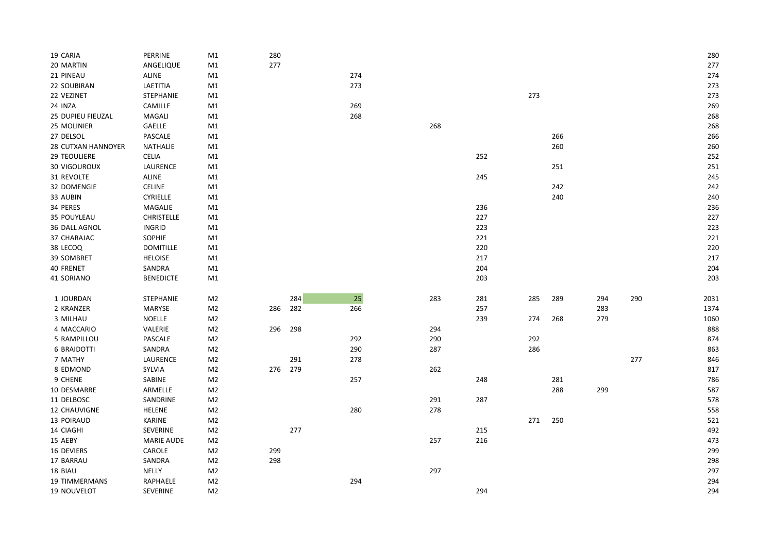| 19 CARIA            | PERRINE           | M1             | 280 |     |        |     |     |     |     |     |     | 280  |
|---------------------|-------------------|----------------|-----|-----|--------|-----|-----|-----|-----|-----|-----|------|
| 20 MARTIN           | ANGELIQUE         | M1             | 277 |     |        |     |     |     |     |     |     | 277  |
| 21 PINEAU           | ALINE             | M1             |     |     | 274    |     |     |     |     |     |     | 274  |
| 22 SOUBIRAN         | LAETITIA          | M1             |     |     | 273    |     |     |     |     |     |     | 273  |
| 22 VEZINET          | <b>STEPHANIE</b>  | M1             |     |     |        |     |     | 273 |     |     |     | 273  |
| 24 INZA             | CAMILLE           | M1             |     |     | 269    |     |     |     |     |     |     | 269  |
| 25 DUPIEU FIEUZAL   | MAGALI            | M1             |     |     | 268    |     |     |     |     |     |     | 268  |
| 25 MOLINIER         | GAELLE            | M1             |     |     |        | 268 |     |     |     |     |     | 268  |
| 27 DELSOL           | PASCALE           | M1             |     |     |        |     |     |     | 266 |     |     | 266  |
| 28 CUTXAN HANNOYER  | NATHALIE          | M1             |     |     |        |     |     |     | 260 |     |     | 260  |
| <b>29 TEOULIERE</b> | CELIA             | M1             |     |     |        |     | 252 |     |     |     |     | 252  |
| <b>30 VIGOUROUX</b> | LAURENCE          | M1             |     |     |        |     |     |     | 251 |     |     | 251  |
| 31 REVOLTE          | ALINE             | M1             |     |     |        |     | 245 |     |     |     |     | 245  |
| 32 DOMENGIE         | CELINE            | M1             |     |     |        |     |     |     | 242 |     |     | 242  |
| 33 AUBIN            | <b>CYRIELLE</b>   | M1             |     |     |        |     |     |     | 240 |     |     | 240  |
| 34 PERES            | MAGALIE           | M1             |     |     |        |     | 236 |     |     |     |     | 236  |
| 35 POUYLEAU         | <b>CHRISTELLE</b> | M1             |     |     |        |     | 227 |     |     |     |     | 227  |
| 36 DALL AGNOL       | INGRID            | M1             |     |     |        |     | 223 |     |     |     |     | 223  |
| 37 CHARAJAC         | SOPHIE            | M1             |     |     |        |     | 221 |     |     |     |     | 221  |
| 38 LECOQ            | <b>DOMITILLE</b>  | M1             |     |     |        |     | 220 |     |     |     |     | 220  |
| 39 SOMBRET          | HELOISE           | M1             |     |     |        |     | 217 |     |     |     |     | 217  |
| 40 FRENET           | SANDRA            | M1             |     |     |        |     | 204 |     |     |     |     | 204  |
| 41 SORIANO          | <b>BENEDICTE</b>  | M1             |     |     |        |     | 203 |     |     |     |     | 203  |
|                     |                   |                |     |     |        |     |     |     |     |     |     |      |
| 1 JOURDAN           | <b>STEPHANIE</b>  | M <sub>2</sub> |     | 284 | $25\,$ | 283 | 281 | 285 | 289 | 294 | 290 | 2031 |
| 2 KRANZER           | MARYSE            | M <sub>2</sub> | 286 | 282 | 266    |     | 257 |     |     | 283 |     | 1374 |
| 3 MILHAU            | <b>NOELLE</b>     | M <sub>2</sub> |     |     |        |     | 239 | 274 | 268 | 279 |     | 1060 |
| 4 MACCARIO          | VALERIE           | M <sub>2</sub> | 296 | 298 |        | 294 |     |     |     |     |     | 888  |
| 5 RAMPILLOU         | PASCALE           | M <sub>2</sub> |     |     | 292    | 290 |     | 292 |     |     |     | 874  |
| <b>6 BRAIDOTTI</b>  | SANDRA            | M <sub>2</sub> |     |     | 290    | 287 |     | 286 |     |     |     | 863  |
| 7 MATHY             | LAURENCE          | M <sub>2</sub> |     | 291 | 278    |     |     |     |     |     | 277 | 846  |
| 8 EDMOND            | SYLVIA            | M <sub>2</sub> | 276 | 279 |        | 262 |     |     |     |     |     | 817  |
| 9 CHENE             | SABINE            | M <sub>2</sub> |     |     | 257    |     | 248 |     | 281 |     |     | 786  |
| 10 DESMARRE         | ARMELLE           | M <sub>2</sub> |     |     |        |     |     |     | 288 | 299 |     | 587  |
| 11 DELBOSC          | SANDRINE          | M <sub>2</sub> |     |     |        | 291 | 287 |     |     |     |     | 578  |
| 12 CHAUVIGNE        | HELENE            | M <sub>2</sub> |     |     | 280    | 278 |     |     |     |     |     | 558  |
| 13 POIRAUD          | KARINE            | M <sub>2</sub> |     |     |        |     |     | 271 | 250 |     |     | 521  |
| 14 CIAGHI           | SEVERINE          | M <sub>2</sub> |     | 277 |        |     | 215 |     |     |     |     | 492  |
| 15 AEBY             | <b>MARIE AUDE</b> | M <sub>2</sub> |     |     |        | 257 | 216 |     |     |     |     | 473  |
| 16 DEVIERS          | CAROLE            | M <sub>2</sub> | 299 |     |        |     |     |     |     |     |     | 299  |
| 17 BARRAU           | SANDRA            | M <sub>2</sub> | 298 |     |        |     |     |     |     |     |     | 298  |
| 18 BIAU             | NELLY             | M <sub>2</sub> |     |     |        | 297 |     |     |     |     |     | 297  |
| 19 TIMMERMANS       | RAPHAELE          | M <sub>2</sub> |     |     | 294    |     |     |     |     |     |     | 294  |
| 19 NOUVELOT         | SEVERINE          | M <sub>2</sub> |     |     |        |     | 294 |     |     |     |     | 294  |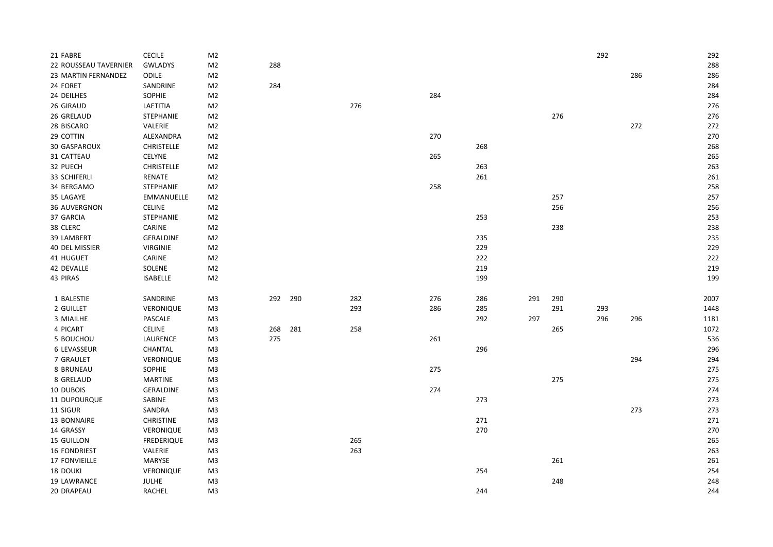| 21 FABRE              | <b>CECILE</b>     | M <sub>2</sub> |     |     |     |     |     |     |     | 292 |     | 292  |
|-----------------------|-------------------|----------------|-----|-----|-----|-----|-----|-----|-----|-----|-----|------|
| 22 ROUSSEAU TAVERNIER | <b>GWLADYS</b>    | M <sub>2</sub> | 288 |     |     |     |     |     |     |     |     | 288  |
| 23 MARTIN FERNANDEZ   | <b>ODILE</b>      | M <sub>2</sub> |     |     |     |     |     |     |     |     | 286 | 286  |
| 24 FORET              | SANDRINE          | M <sub>2</sub> | 284 |     |     |     |     |     |     |     |     | 284  |
| 24 DEILHES            | SOPHIE            | M <sub>2</sub> |     |     |     | 284 |     |     |     |     |     | 284  |
| 26 GIRAUD             | LAETITIA          | M <sub>2</sub> |     |     | 276 |     |     |     |     |     |     | 276  |
| 26 GRELAUD            | STEPHANIE         | M <sub>2</sub> |     |     |     |     |     |     | 276 |     |     | 276  |
| 28 BISCARO            | VALERIE           | M <sub>2</sub> |     |     |     |     |     |     |     |     | 272 | 272  |
| 29 COTTIN             | ALEXANDRA         | M <sub>2</sub> |     |     |     | 270 |     |     |     |     |     | 270  |
| 30 GASPAROUX          | <b>CHRISTELLE</b> | M <sub>2</sub> |     |     |     |     | 268 |     |     |     |     | 268  |
| 31 CATTEAU            | <b>CELYNE</b>     | M <sub>2</sub> |     |     |     | 265 |     |     |     |     |     | 265  |
| 32 PUECH              | CHRISTELLE        | M <sub>2</sub> |     |     |     |     | 263 |     |     |     |     | 263  |
| 33 SCHIFERLI          | RENATE            | M <sub>2</sub> |     |     |     |     | 261 |     |     |     |     | 261  |
| 34 BERGAMO            | <b>STEPHANIE</b>  | M <sub>2</sub> |     |     |     | 258 |     |     |     |     |     | 258  |
| 35 LAGAYE             | EMMANUELLE        | M <sub>2</sub> |     |     |     |     |     |     | 257 |     |     | 257  |
| 36 AUVERGNON          | <b>CELINE</b>     | M <sub>2</sub> |     |     |     |     |     |     | 256 |     |     | 256  |
| 37 GARCIA             | STEPHANIE         | M <sub>2</sub> |     |     |     |     | 253 |     |     |     |     | 253  |
| 38 CLERC              | CARINE            | M <sub>2</sub> |     |     |     |     |     |     | 238 |     |     | 238  |
| 39 LAMBERT            | <b>GERALDINE</b>  | M <sub>2</sub> |     |     |     |     | 235 |     |     |     |     | 235  |
| 40 DEL MISSIER        | VIRGINIE          | M <sub>2</sub> |     |     |     |     | 229 |     |     |     |     | 229  |
| 41 HUGUET             | CARINE            | M <sub>2</sub> |     |     |     |     | 222 |     |     |     |     | 222  |
| 42 DEVALLE            | SOLENE            | M <sub>2</sub> |     |     |     |     | 219 |     |     |     |     | 219  |
| 43 PIRAS              | <b>ISABELLE</b>   | M <sub>2</sub> |     |     |     |     | 199 |     |     |     |     | 199  |
|                       |                   |                |     |     |     |     |     |     |     |     |     |      |
| 1 BALESTIE            | SANDRINE          | M <sub>3</sub> | 292 | 290 | 282 | 276 | 286 | 291 | 290 |     |     | 2007 |
| 2 GUILLET             | VERONIQUE         | M <sub>3</sub> |     |     | 293 | 286 | 285 |     | 291 | 293 |     | 1448 |
| 3 MIAILHE             | PASCALE           | M <sub>3</sub> |     |     |     |     | 292 | 297 |     | 296 | 296 | 1181 |
| 4 PICART              | CELINE            | M3             | 268 | 281 | 258 |     |     |     | 265 |     |     | 1072 |
| 5 BOUCHOU             | LAURENCE          | M <sub>3</sub> | 275 |     |     | 261 |     |     |     |     |     | 536  |
| 6 LEVASSEUR           | CHANTAL           | M <sub>3</sub> |     |     |     |     | 296 |     |     |     |     | 296  |
| 7 GRAULET             | VERONIQUE         | M <sub>3</sub> |     |     |     |     |     |     |     |     | 294 | 294  |
| 8 BRUNEAU             | SOPHIE            | M <sub>3</sub> |     |     |     | 275 |     |     |     |     |     | 275  |
| 8 GRELAUD             | <b>MARTINE</b>    | M <sub>3</sub> |     |     |     |     |     |     | 275 |     |     | 275  |
| 10 DUBOIS             | GERALDINE         | M <sub>3</sub> |     |     |     | 274 |     |     |     |     |     | 274  |
| 11 DUPOURQUE          | SABINE            | M <sub>3</sub> |     |     |     |     | 273 |     |     |     |     | 273  |
| 11 SIGUR              | SANDRA            | M <sub>3</sub> |     |     |     |     |     |     |     |     | 273 | 273  |
| 13 BONNAIRE           | <b>CHRISTINE</b>  | M <sub>3</sub> |     |     |     |     | 271 |     |     |     |     | 271  |
| 14 GRASSY             | VERONIQUE         | M3             |     |     |     |     | 270 |     |     |     |     | 270  |
| 15 GUILLON            | <b>FREDERIQUE</b> | M <sub>3</sub> |     |     | 265 |     |     |     |     |     |     | 265  |
| <b>16 FONDRIEST</b>   | VALERIE           | M <sub>3</sub> |     |     | 263 |     |     |     |     |     |     | 263  |
| 17 FONVIEILLE         | MARYSE            | M <sub>3</sub> |     |     |     |     |     |     | 261 |     |     | 261  |
| 18 DOUKI              | VERONIQUE         | M <sub>3</sub> |     |     |     |     | 254 |     |     |     |     | 254  |
| 19 LAWRANCE           | <b>JULHE</b>      | M3             |     |     |     |     |     |     | 248 |     |     | 248  |
| 20 DRAPEAU            | <b>RACHEL</b>     | M <sub>3</sub> |     |     |     |     | 244 |     |     |     |     | 244  |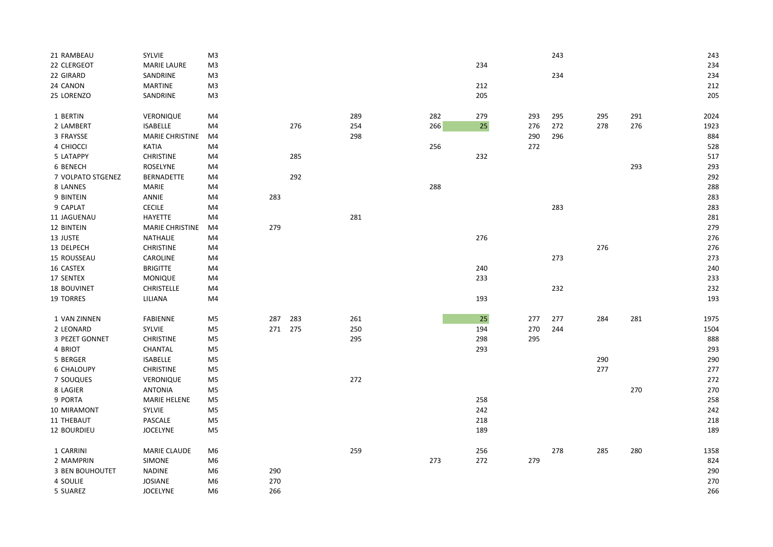| 21 RAMBEAU             | SYLVIE                 | M <sub>3</sub> |     |     |     |     |        |     | 243 |     |     | 243  |
|------------------------|------------------------|----------------|-----|-----|-----|-----|--------|-----|-----|-----|-----|------|
| 22 CLERGEOT            | <b>MARIE LAURE</b>     | M3             |     |     |     |     | 234    |     |     |     |     | 234  |
| 22 GIRARD              | SANDRINE               | M <sub>3</sub> |     |     |     |     |        |     | 234 |     |     | 234  |
| 24 CANON               | MARTINE                | M3             |     |     |     |     | 212    |     |     |     |     | 212  |
| 25 LORENZO             | SANDRINE               | M <sub>3</sub> |     |     |     |     | 205    |     |     |     |     | 205  |
| 1 BERTIN               | <b>VERONIQUE</b>       | M4             |     |     | 289 | 282 | 279    | 293 | 295 | 295 | 291 | 2024 |
| 2 LAMBERT              | <b>ISABELLE</b>        | M4             |     | 276 | 254 | 266 | $25\,$ | 276 | 272 | 278 | 276 | 1923 |
| 3 FRAYSSE              | <b>MARIE CHRISTINE</b> | M4             |     |     | 298 |     |        | 290 | 296 |     |     | 884  |
| 4 CHIOCCI              | KATIA                  | M4             |     |     |     | 256 |        | 272 |     |     |     | 528  |
| 5 LATAPPY              | <b>CHRISTINE</b>       | M4             |     | 285 |     |     | 232    |     |     |     |     | 517  |
| 6 BENECH               | <b>ROSELYNE</b>        | M4             |     |     |     |     |        |     |     |     | 293 | 293  |
| 7 VOLPATO STGENEZ      | <b>BERNADETTE</b>      | M4             |     | 292 |     |     |        |     |     |     |     | 292  |
| 8 LANNES               | <b>MARIE</b>           | M4             |     |     |     | 288 |        |     |     |     |     | 288  |
| 9 BINTEIN              | ANNIE                  | M4             | 283 |     |     |     |        |     |     |     |     | 283  |
| 9 CAPLAT               | CECILE                 | M4             |     |     |     |     |        |     | 283 |     |     | 283  |
| 11 JAGUENAU            | HAYETTE                | M4             |     |     | 281 |     |        |     |     |     |     | 281  |
| 12 BINTEIN             | MARIE CHRISTINE        | M4             | 279 |     |     |     |        |     |     |     |     | 279  |
| 13 JUSTE               | <b>NATHALIE</b>        | M4             |     |     |     |     | 276    |     |     |     |     | 276  |
| 13 DELPECH             | <b>CHRISTINE</b>       | M4             |     |     |     |     |        |     |     | 276 |     | 276  |
| 15 ROUSSEAU            | CAROLINE               | M4             |     |     |     |     |        |     | 273 |     |     | 273  |
| 16 CASTEX              | <b>BRIGITTE</b>        | M4             |     |     |     |     | 240    |     |     |     |     | 240  |
| 17 SENTEX              | <b>MONIQUE</b>         | M4             |     |     |     |     | 233    |     |     |     |     | 233  |
| 18 BOUVINET            | <b>CHRISTELLE</b>      | M4             |     |     |     |     |        |     | 232 |     |     | 232  |
| 19 TORRES              | LILIANA                | M4             |     |     |     |     | 193    |     |     |     |     | 193  |
| 1 VAN ZINNEN           | FABIENNE               | M5             | 287 | 283 | 261 |     | 25     | 277 | 277 | 284 | 281 | 1975 |
| 2 LEONARD              | SYLVIE                 | M5             | 271 | 275 | 250 |     | 194    | 270 | 244 |     |     | 1504 |
| 3 PEZET GONNET         | <b>CHRISTINE</b>       | M5             |     |     | 295 |     | 298    | 295 |     |     |     | 888  |
| 4 BRIOT                | CHANTAL                | M5             |     |     |     |     | 293    |     |     |     |     | 293  |
| 5 BERGER               | <b>ISABELLE</b>        | M5             |     |     |     |     |        |     |     | 290 |     | 290  |
| <b>6 CHALOUPY</b>      | <b>CHRISTINE</b>       | M <sub>5</sub> |     |     |     |     |        |     |     | 277 |     | 277  |
| 7 SOUQUES              | VERONIQUE              | M <sub>5</sub> |     |     | 272 |     |        |     |     |     |     | 272  |
| 8 LAGIER               | <b>ANTONIA</b>         | M5             |     |     |     |     |        |     |     |     | 270 | 270  |
| 9 PORTA                | <b>MARIE HELENE</b>    | M5             |     |     |     |     | 258    |     |     |     |     | 258  |
| 10 MIRAMONT            | SYLVIE                 | M <sub>5</sub> |     |     |     |     | 242    |     |     |     |     | 242  |
| 11 THEBAUT             | PASCALE                | M <sub>5</sub> |     |     |     |     | 218    |     |     |     |     | 218  |
| 12 BOURDIEU            | <b>JOCELYNE</b>        | M <sub>5</sub> |     |     |     |     | 189    |     |     |     |     | 189  |
| 1 CARRINI              | <b>MARIE CLAUDE</b>    | M <sub>6</sub> |     |     | 259 |     | 256    |     | 278 | 285 | 280 | 1358 |
| 2 MAMPRIN              | SIMONE                 | M6             |     |     |     | 273 | 272    | 279 |     |     |     | 824  |
| <b>3 BEN BOUHOUTET</b> | <b>NADINE</b>          | M6             | 290 |     |     |     |        |     |     |     |     | 290  |
| 4 SOULIE               | JOSIANE                | M <sub>6</sub> | 270 |     |     |     |        |     |     |     |     | 270  |
| 5 SUAREZ               | <b>JOCELYNE</b>        | M6             | 266 |     |     |     |        |     |     |     |     | 266  |